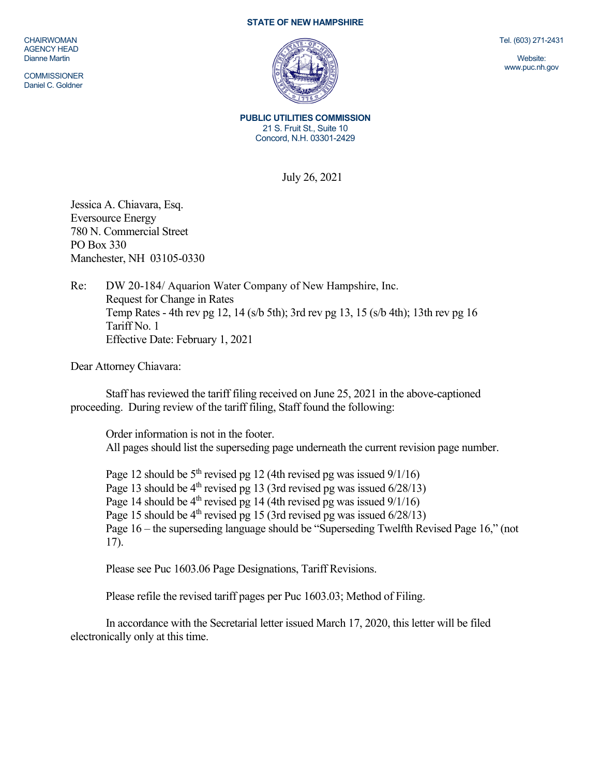## **STATE OF NEW HAMPSHIRE**

CHAIRWOMAN AGENCY HEAD Dianne Martin

**COMMISSIONER** Daniel C. Goldner



**PUBLIC UTILITIES COMMISSION**  21 S. Fruit St., Suite 10 Concord, N.H. 03301-2429

July 26, 2021

Jessica A. Chiavara, Esq. Eversource Energy 780 N. Commercial Street PO Box 330 Manchester, NH 03105-0330

Re: DW 20-184/ Aquarion Water Company of New Hampshire, Inc. Request for Change in Rates Temp Rates - 4th rev pg 12, 14 (s/b 5th); 3rd rev pg 13, 15 (s/b 4th); 13th rev pg 16 Tariff No. 1 Effective Date: February 1, 2021

Dear Attorney Chiavara:

Staff has reviewed the tariff filing received on June 25, 2021 in the above-captioned proceeding. During review of the tariff filing, Staff found the following:

Order information is not in the footer. All pages should list the superseding page underneath the current revision page number.

Page 12 should be  $5<sup>th</sup>$  revised pg 12 (4th revised pg was issued  $9/1/16$ ) Page 13 should be  $4<sup>th</sup>$  revised pg 13 (3rd revised pg was issued  $6/28/13$ ) Page 14 should be  $4<sup>th</sup>$  revised pg 14 (4th revised pg was issued  $9/1/16$ ) Page 15 should be  $4<sup>th</sup>$  revised pg 15 (3rd revised pg was issued  $6/28/13$ ) Page 16 – the superseding language should be "Superseding Twelfth Revised Page 16," (not 17).

Please see Puc 1603.06 Page Designations, Tariff Revisions.

Please refile the revised tariff pages per Puc 1603.03; Method of Filing.

In accordance with the Secretarial letter issued March 17, 2020, this letter will be filed electronically only at this time.

Tel. (603) 271-2431

Website: www.puc.nh.gov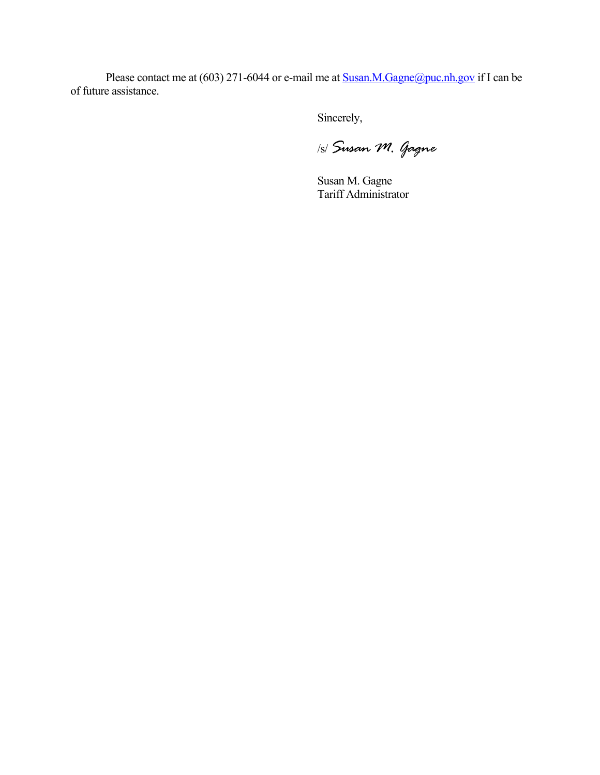Please contact me at (603) 271-6044 or e-mail me at **Susan.M.Gagne@puc.nh.gov** if I can be of future assistance.

Sincerely,

/s/ *Susan M. Gagne*

Susan M. Gagne Tariff Administrator